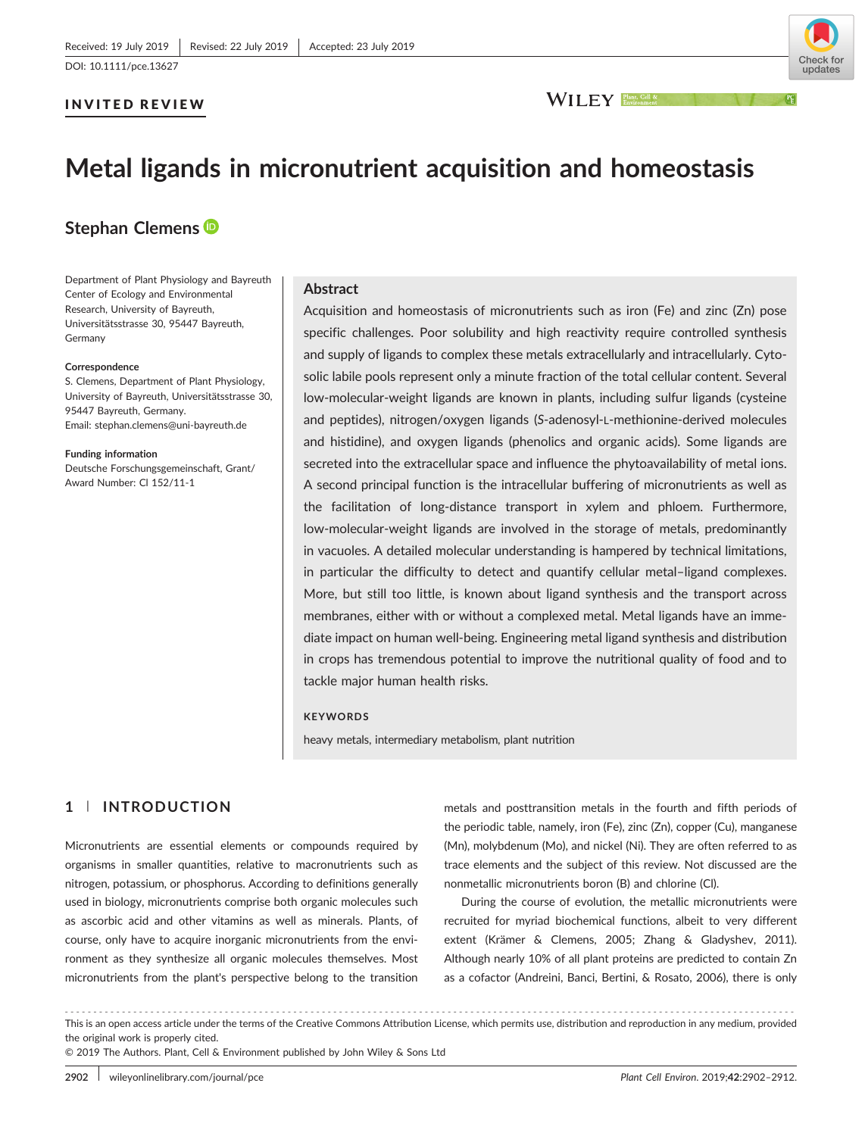## INVITED REVIEW



WILEY **Elant, Cell &** 

# **Metal ligands in micronutrient acquisition and homeostasis**

## **Stephan Clemens**

Department of Plant Physiology and Bayreuth Center of Ecology and Environmental Research, University of Bayreuth, Universitätsstrasse 30, 95447 Bayreuth, Germany

#### **Correspondence**

S. Clemens, Department of Plant Physiology, University of Bayreuth, Universitätsstrasse 30, 95447 Bayreuth, Germany. Email: stephan.clemens@uni‐bayreuth.de

**Funding information** Deutsche Forschungsgemeinschaft, Grant/ Award Number: Cl 152/11‐1

#### **Abstract**

Acquisition and homeostasis of micronutrients such as iron (Fe) and zinc (Zn) pose specific challenges. Poor solubility and high reactivity require controlled synthesis and supply of ligands to complex these metals extracellularly and intracellularly. Cytosolic labile pools represent only a minute fraction of the total cellular content. Several low‐molecular‐weight ligands are known in plants, including sulfur ligands (cysteine and peptides), nitrogen/oxygen ligands (*S*‐adenosyl‐L‐methionine‐derived molecules and histidine), and oxygen ligands (phenolics and organic acids). Some ligands are secreted into the extracellular space and influence the phytoavailability of metal ions. A second principal function is the intracellular buffering of micronutrients as well as the facilitation of long‐distance transport in xylem and phloem. Furthermore, low-molecular-weight ligands are involved in the storage of metals, predominantly in vacuoles. A detailed molecular understanding is hampered by technical limitations, in particular the difficulty to detect and quantify cellular metal–ligand complexes. More, but still too little, is known about ligand synthesis and the transport across membranes, either with or without a complexed metal. Metal ligands have an immediate impact on human well‐being. Engineering metal ligand synthesis and distribution in crops has tremendous potential to improve the nutritional quality of food and to tackle major human health risks.

#### **KEYWORDS**

heavy metals, intermediary metabolism, plant nutrition

## **1** | **INTRODUCTION**

Micronutrients are essential elements or compounds required by organisms in smaller quantities, relative to macronutrients such as nitrogen, potassium, or phosphorus. According to definitions generally used in biology, micronutrients comprise both organic molecules such as ascorbic acid and other vitamins as well as minerals. Plants, of course, only have to acquire inorganic micronutrients from the environment as they synthesize all organic molecules themselves. Most micronutrients from the plant's perspective belong to the transition

metals and posttransition metals in the fourth and fifth periods of the periodic table, namely, iron (Fe), zinc (Zn), copper (Cu), manganese (Mn), molybdenum (Mo), and nickel (Ni). They are often referred to as trace elements and the subject of this review. Not discussed are the nonmetallic micronutrients boron (B) and chlorine (Cl).

During the course of evolution, the metallic micronutrients were recruited for myriad biochemical functions, albeit to very different extent (Krämer & Clemens, 2005; Zhang & Gladyshev, 2011). Although nearly 10% of all plant proteins are predicted to contain Zn as a cofactor (Andreini, Banci, Bertini, & Rosato, 2006), there is only

© 2019 The Authors. Plant, Cell & Environment published by John Wiley & Sons Ltd

<sup>-------------------------------------------------------------------------------------------------------------------------------</sup> - This is an open access article under the terms of the [Creative Commons Attribution](http://creativecommons.org/licenses/by/4.0/) License, which permits use, distribution and reproduction in any medium, provided the original work is properly cited.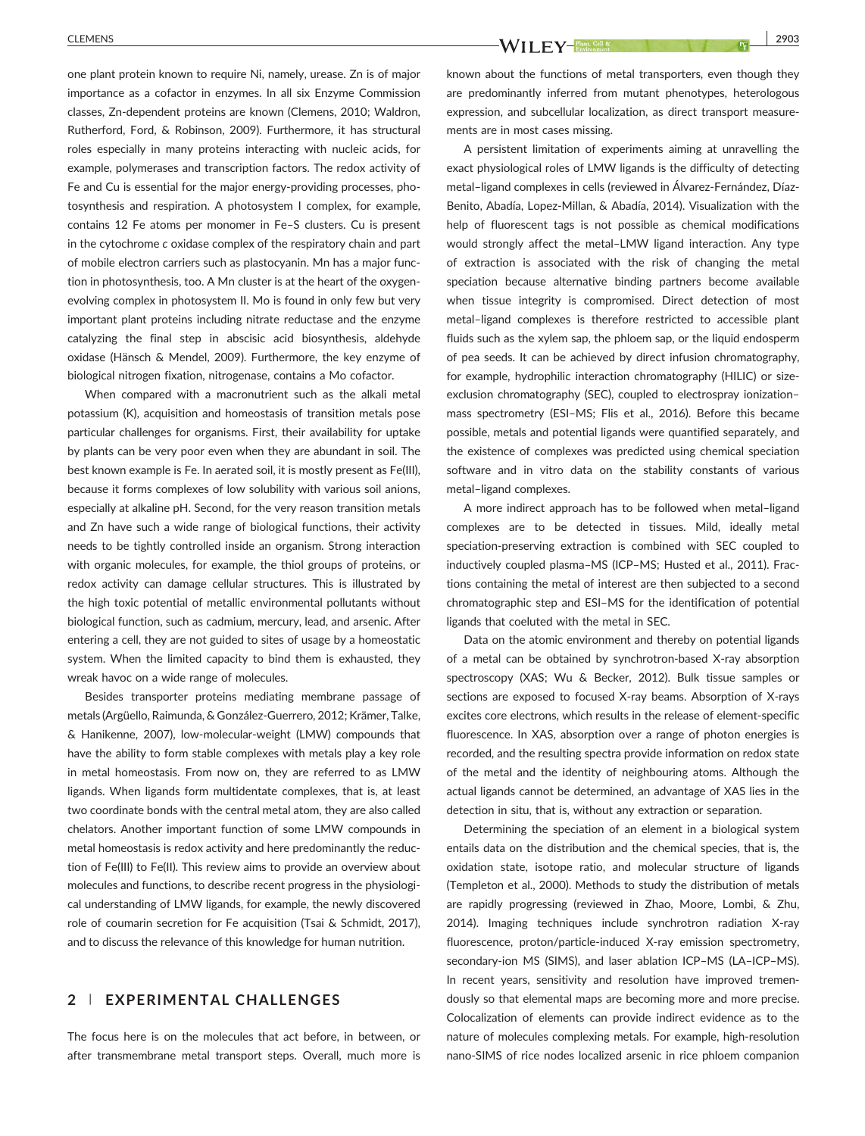one plant protein known to require Ni, namely, urease. Zn is of major importance as a cofactor in enzymes. In all six Enzyme Commission classes, Zn‐dependent proteins are known (Clemens, 2010; Waldron, Rutherford, Ford, & Robinson, 2009). Furthermore, it has structural roles especially in many proteins interacting with nucleic acids, for example, polymerases and transcription factors. The redox activity of Fe and Cu is essential for the major energy‐providing processes, photosynthesis and respiration. A photosystem I complex, for example, contains 12 Fe atoms per monomer in Fe–S clusters. Cu is present in the cytochrome *c* oxidase complex of the respiratory chain and part of mobile electron carriers such as plastocyanin. Mn has a major function in photosynthesis, too. A Mn cluster is at the heart of the oxygen‐ evolving complex in photosystem II. Mo is found in only few but very important plant proteins including nitrate reductase and the enzyme catalyzing the final step in abscisic acid biosynthesis, aldehyde oxidase (Hänsch & Mendel, 2009). Furthermore, the key enzyme of biological nitrogen fixation, nitrogenase, contains a Mo cofactor.

When compared with a macronutrient such as the alkali metal potassium (K), acquisition and homeostasis of transition metals pose particular challenges for organisms. First, their availability for uptake by plants can be very poor even when they are abundant in soil. The best known example is Fe. In aerated soil, it is mostly present as Fe(III), because it forms complexes of low solubility with various soil anions, especially at alkaline pH. Second, for the very reason transition metals and Zn have such a wide range of biological functions, their activity needs to be tightly controlled inside an organism. Strong interaction with organic molecules, for example, the thiol groups of proteins, or redox activity can damage cellular structures. This is illustrated by the high toxic potential of metallic environmental pollutants without biological function, such as cadmium, mercury, lead, and arsenic. After entering a cell, they are not guided to sites of usage by a homeostatic system. When the limited capacity to bind them is exhausted, they wreak havoc on a wide range of molecules.

Besides transporter proteins mediating membrane passage of metals (Argüello, Raimunda, & González‐Guerrero, 2012; Krämer, Talke, & Hanikenne, 2007), low‐molecular‐weight (LMW) compounds that have the ability to form stable complexes with metals play a key role in metal homeostasis. From now on, they are referred to as LMW ligands. When ligands form multidentate complexes, that is, at least two coordinate bonds with the central metal atom, they are also called chelators. Another important function of some LMW compounds in metal homeostasis is redox activity and here predominantly the reduction of Fe(III) to Fe(II). This review aims to provide an overview about molecules and functions, to describe recent progress in the physiological understanding of LMW ligands, for example, the newly discovered role of coumarin secretion for Fe acquisition (Tsai & Schmidt, 2017), and to discuss the relevance of this knowledge for human nutrition.

## **2** | **EXPERIMENTAL CHALLENGES**

The focus here is on the molecules that act before, in between, or after transmembrane metal transport steps. Overall, much more is known about the functions of metal transporters, even though they are predominantly inferred from mutant phenotypes, heterologous expression, and subcellular localization, as direct transport measurements are in most cases missing.

A persistent limitation of experiments aiming at unravelling the exact physiological roles of LMW ligands is the difficulty of detecting metal–ligand complexes in cells (reviewed in Álvarez‐Fernández, Díaz‐ Benito, Abadía, Lopez‐Millan, & Abadía, 2014). Visualization with the help of fluorescent tags is not possible as chemical modifications would strongly affect the metal–LMW ligand interaction. Any type of extraction is associated with the risk of changing the metal speciation because alternative binding partners become available when tissue integrity is compromised. Direct detection of most metal–ligand complexes is therefore restricted to accessible plant fluids such as the xylem sap, the phloem sap, or the liquid endosperm of pea seeds. It can be achieved by direct infusion chromatography, for example, hydrophilic interaction chromatography (HILIC) or size‐ exclusion chromatography (SEC), coupled to electrospray ionization– mass spectrometry (ESI–MS; Flis et al., 2016). Before this became possible, metals and potential ligands were quantified separately, and the existence of complexes was predicted using chemical speciation software and in vitro data on the stability constants of various metal–ligand complexes.

A more indirect approach has to be followed when metal–ligand complexes are to be detected in tissues. Mild, ideally metal speciation‐preserving extraction is combined with SEC coupled to inductively coupled plasma–MS (ICP–MS; Husted et al., 2011). Fractions containing the metal of interest are then subjected to a second chromatographic step and ESI–MS for the identification of potential ligands that coeluted with the metal in SEC.

Data on the atomic environment and thereby on potential ligands of a metal can be obtained by synchrotron‐based X‐ray absorption spectroscopy (XAS; Wu & Becker, 2012). Bulk tissue samples or sections are exposed to focused X-ray beams. Absorption of X-rays excites core electrons, which results in the release of element‐specific fluorescence. In XAS, absorption over a range of photon energies is recorded, and the resulting spectra provide information on redox state of the metal and the identity of neighbouring atoms. Although the actual ligands cannot be determined, an advantage of XAS lies in the detection in situ, that is, without any extraction or separation.

Determining the speciation of an element in a biological system entails data on the distribution and the chemical species, that is, the oxidation state, isotope ratio, and molecular structure of ligands (Templeton et al., 2000). Methods to study the distribution of metals are rapidly progressing (reviewed in Zhao, Moore, Lombi, & Zhu, 2014). Imaging techniques include synchrotron radiation X‐ray fluorescence, proton/particle‐induced X‐ray emission spectrometry, secondary-ion MS (SIMS), and laser ablation ICP-MS (LA-ICP-MS). In recent years, sensitivity and resolution have improved tremendously so that elemental maps are becoming more and more precise. Colocalization of elements can provide indirect evidence as to the nature of molecules complexing metals. For example, high‐resolution nano‐SIMS of rice nodes localized arsenic in rice phloem companion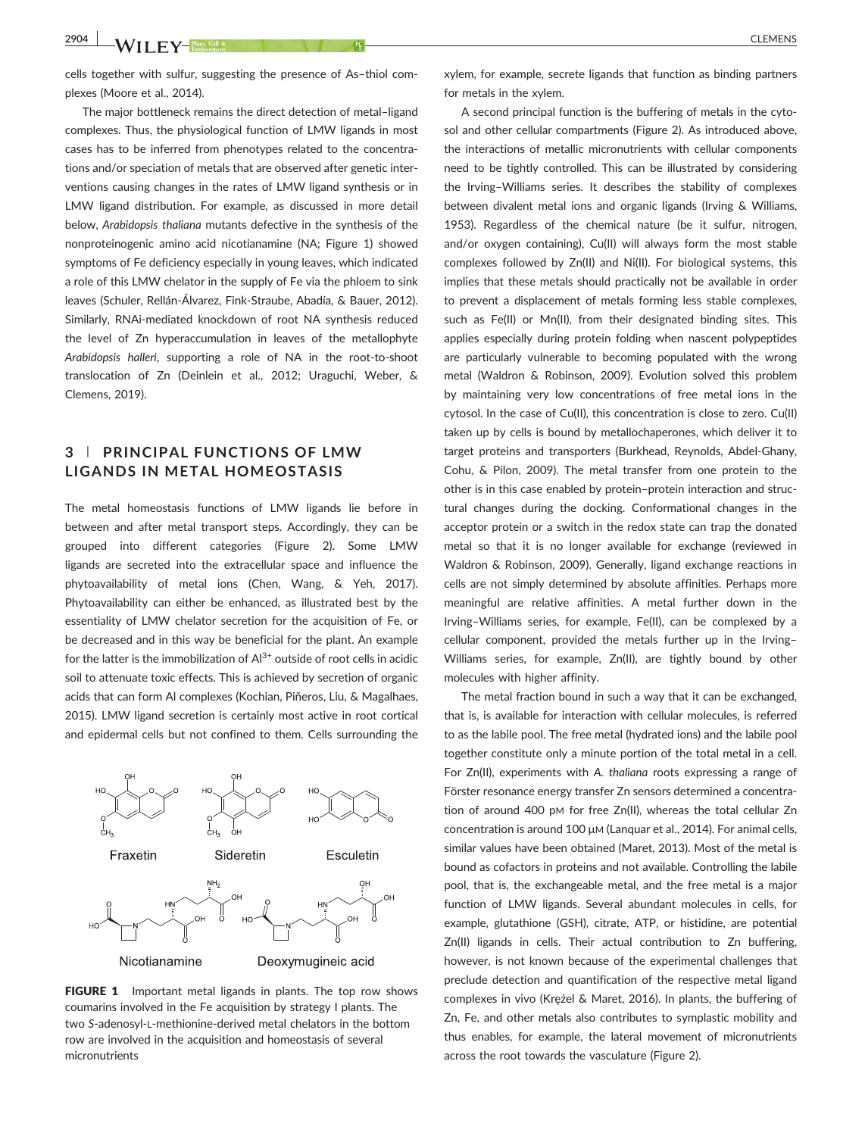cells together with sulfur, suggesting the presence of As–thiol complexes (Moore et al., 2014).

The major bottleneck remains the direct detection of metal–ligand complexes. Thus, the physiological function of LMW ligands in most cases has to be inferred from phenotypes related to the concentrations and/or speciation of metals that are observed after genetic interventions causing changes in the rates of LMW ligand synthesis or in LMW ligand distribution. For example, as discussed in more detail below, *Arabidopsis thaliana* mutants defective in the synthesis of the nonproteinogenic amino acid nicotianamine (NA; Figure 1) showed symptoms of Fe deficiency especially in young leaves, which indicated a role of this LMW chelator in the supply of Fe via the phloem to sink leaves (Schuler, Rellán‐Álvarez, Fink‐Straube, Abadía, & Bauer, 2012). Similarly, RNAi‐mediated knockdown of root NA synthesis reduced the level of Zn hyperaccumulation in leaves of the metallophyte *Arabidopsis halleri*, supporting a role of NA in the root‐to‐shoot translocation of Zn (Deinlein et al., 2012; Uraguchi, Weber, & Clemens, 2019).

## **3** | **PRINCIPAL FUNCTIONS OF LMW LIGANDS IN METAL HOMEOSTASIS**

The metal homeostasis functions of LMW ligands lie before in between and after metal transport steps. Accordingly, they can be grouped into different categories (Figure 2). Some LMW ligands are secreted into the extracellular space and influence the phytoavailability of metal ions (Chen, Wang, & Yeh, 2017). Phytoavailability can either be enhanced, as illustrated best by the essentiality of LMW chelator secretion for the acquisition of Fe, or be decreased and in this way be beneficial for the plant. An example for the latter is the immobilization of  $Al^{3+}$  outside of root cells in acidic soil to attenuate toxic effects. This is achieved by secretion of organic acids that can form Al complexes (Kochian, Piñeros, Liu, & Magalhaes, 2015). LMW ligand secretion is certainly most active in root cortical and epidermal cells but not confined to them. Cells surrounding the



FIGURE 1 Important metal ligands in plants. The top row shows coumarins involved in the Fe acquisition by strategy I plants. The two *S*‐adenosyl‐L‐methionine‐derived metal chelators in the bottom row are involved in the acquisition and homeostasis of several micronutrients

xylem, for example, secrete ligands that function as binding partners for metals in the xylem.

A second principal function is the buffering of metals in the cytosol and other cellular compartments (Figure 2). As introduced above, the interactions of metallic micronutrients with cellular components need to be tightly controlled. This can be illustrated by considering the Irving–Williams series. It describes the stability of complexes between divalent metal ions and organic ligands (Irving & Williams, 1953). Regardless of the chemical nature (be it sulfur, nitrogen, and/or oxygen containing), Cu(II) will always form the most stable complexes followed by Zn(II) and Ni(II). For biological systems, this implies that these metals should practically not be available in order to prevent a displacement of metals forming less stable complexes, such as Fe(II) or Mn(II), from their designated binding sites. This applies especially during protein folding when nascent polypeptides are particularly vulnerable to becoming populated with the wrong metal (Waldron & Robinson, 2009). Evolution solved this problem by maintaining very low concentrations of free metal ions in the cytosol. In the case of Cu(II), this concentration is close to zero. Cu(II) taken up by cells is bound by metallochaperones, which deliver it to target proteins and transporters (Burkhead, Reynolds, Abdel‐Ghany, Cohu, & Pilon, 2009). The metal transfer from one protein to the other is in this case enabled by protein–protein interaction and structural changes during the docking. Conformational changes in the acceptor protein or a switch in the redox state can trap the donated metal so that it is no longer available for exchange (reviewed in Waldron & Robinson, 2009). Generally, ligand exchange reactions in cells are not simply determined by absolute affinities. Perhaps more meaningful are relative affinities. A metal further down in the Irving–Williams series, for example, Fe(II), can be complexed by a cellular component, provided the metals further up in the Irving– Williams series, for example, Zn(II), are tightly bound by other molecules with higher affinity.

The metal fraction bound in such a way that it can be exchanged, that is, is available for interaction with cellular molecules, is referred to as the labile pool. The free metal (hydrated ions) and the labile pool together constitute only a minute portion of the total metal in a cell. For Zn(II), experiments with *A. thaliana* roots expressing a range of Förster resonance energy transfer Zn sensors determined a concentration of around 400 pM for free Zn(II), whereas the total cellular Zn concentration is around 100 μM (Lanquar et al., 2014). For animal cells, similar values have been obtained (Maret, 2013). Most of the metal is bound as cofactors in proteins and not available. Controlling the labile pool, that is, the exchangeable metal, and the free metal is a major function of LMW ligands. Several abundant molecules in cells, for example, glutathione (GSH), citrate, ATP, or histidine, are potential Zn(II) ligands in cells. Their actual contribution to Zn buffering, however, is not known because of the experimental challenges that preclude detection and quantification of the respective metal ligand complexes in vivo (Krężel & Maret, 2016). In plants, the buffering of Zn, Fe, and other metals also contributes to symplastic mobility and thus enables, for example, the lateral movement of micronutrients across the root towards the vasculature (Figure 2).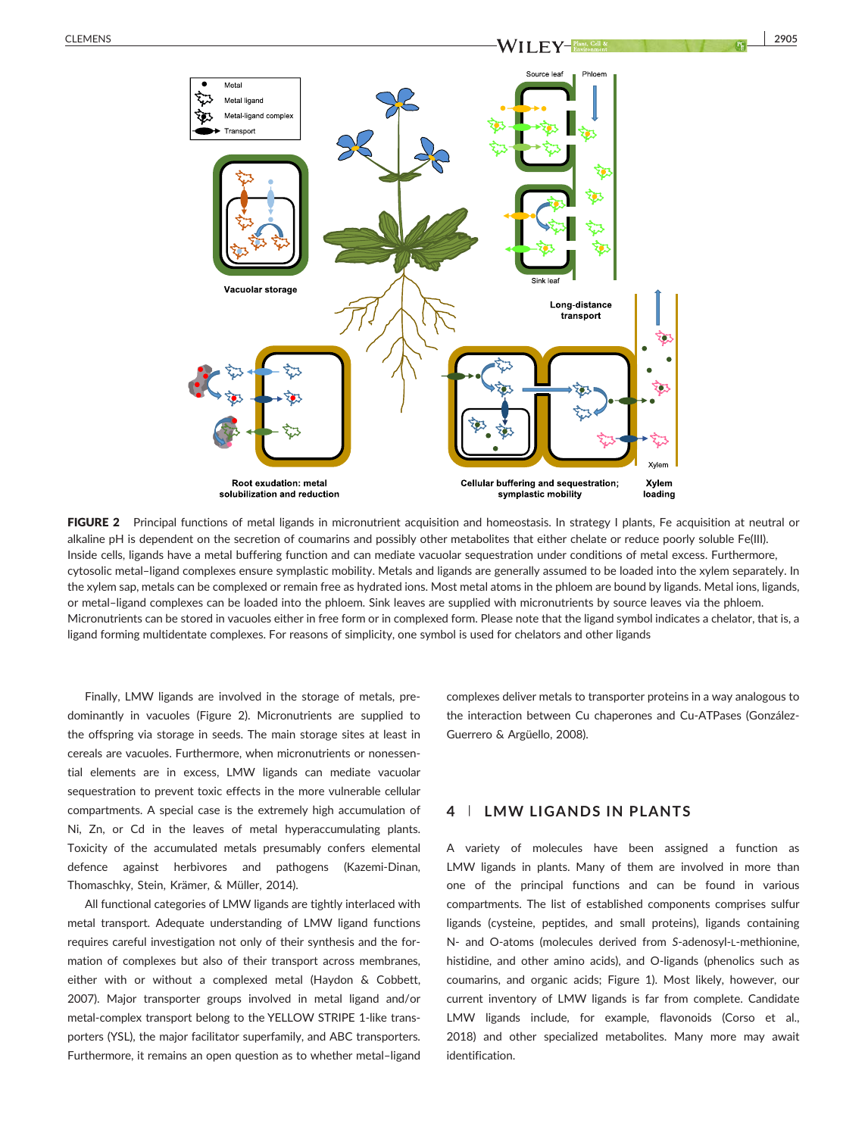

FIGURE 2 Principal functions of metal ligands in micronutrient acquisition and homeostasis. In strategy I plants, Fe acquisition at neutral or alkaline pH is dependent on the secretion of coumarins and possibly other metabolites that either chelate or reduce poorly soluble Fe(III). Inside cells, ligands have a metal buffering function and can mediate vacuolar sequestration under conditions of metal excess. Furthermore, cytosolic metal–ligand complexes ensure symplastic mobility. Metals and ligands are generally assumed to be loaded into the xylem separately. In the xylem sap, metals can be complexed or remain free as hydrated ions. Most metal atoms in the phloem are bound by ligands. Metal ions, ligands, or metal–ligand complexes can be loaded into the phloem. Sink leaves are supplied with micronutrients by source leaves via the phloem. Micronutrients can be stored in vacuoles either in free form or in complexed form. Please note that the ligand symbol indicates a chelator, that is, a ligand forming multidentate complexes. For reasons of simplicity, one symbol is used for chelators and other ligands

Finally, LMW ligands are involved in the storage of metals, predominantly in vacuoles (Figure 2). Micronutrients are supplied to the offspring via storage in seeds. The main storage sites at least in cereals are vacuoles. Furthermore, when micronutrients or nonessential elements are in excess, LMW ligands can mediate vacuolar sequestration to prevent toxic effects in the more vulnerable cellular compartments. A special case is the extremely high accumulation of Ni, Zn, or Cd in the leaves of metal hyperaccumulating plants. Toxicity of the accumulated metals presumably confers elemental defence against herbivores and pathogens (Kazemi‐Dinan, Thomaschky, Stein, Krämer, & Müller, 2014).

All functional categories of LMW ligands are tightly interlaced with metal transport. Adequate understanding of LMW ligand functions requires careful investigation not only of their synthesis and the formation of complexes but also of their transport across membranes, either with or without a complexed metal (Haydon & Cobbett, 2007). Major transporter groups involved in metal ligand and/or metal-complex transport belong to the YELLOW STRIPE 1-like transporters (YSL), the major facilitator superfamily, and ABC transporters. Furthermore, it remains an open question as to whether metal–ligand

complexes deliver metals to transporter proteins in a way analogous to the interaction between Cu chaperones and Cu‐ATPases (González‐ Guerrero & Argüello, 2008).

## **4** | **LMW LIGANDS IN PLANTS**

A variety of molecules have been assigned a function as LMW ligands in plants. Many of them are involved in more than one of the principal functions and can be found in various compartments. The list of established components comprises sulfur ligands (cysteine, peptides, and small proteins), ligands containing N‐ and O‐atoms (molecules derived from *S*‐adenosyl‐L‐methionine, histidine, and other amino acids), and O-ligands (phenolics such as coumarins, and organic acids; Figure 1). Most likely, however, our current inventory of LMW ligands is far from complete. Candidate LMW ligands include, for example, flavonoids (Corso et al., 2018) and other specialized metabolites. Many more may await identification.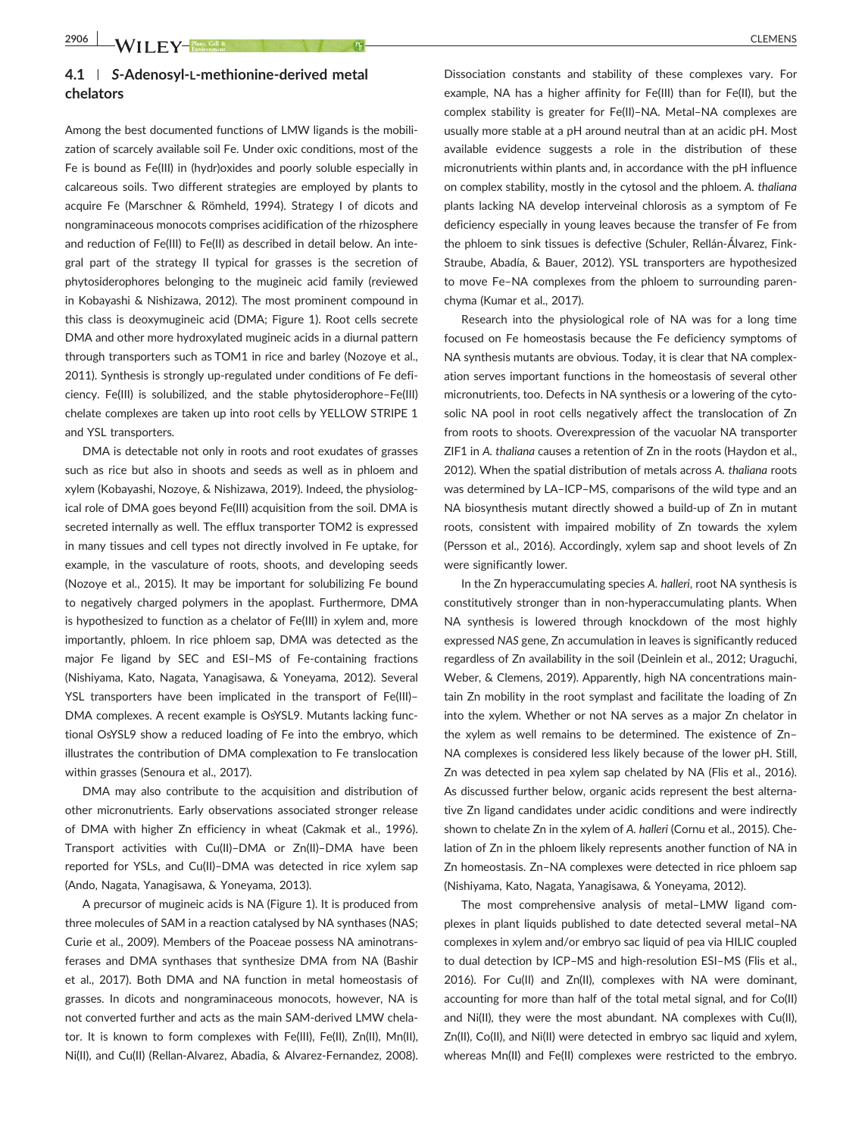## **4.1** | *S***‐Adenosyl‐L‐methionine‐derived metal chelators**

Among the best documented functions of LMW ligands is the mobilization of scarcely available soil Fe. Under oxic conditions, most of the Fe is bound as Fe(III) in (hydr)oxides and poorly soluble especially in calcareous soils. Two different strategies are employed by plants to acquire Fe (Marschner & Römheld, 1994). Strategy I of dicots and nongraminaceous monocots comprises acidification of the rhizosphere and reduction of Fe(III) to Fe(II) as described in detail below. An integral part of the strategy II typical for grasses is the secretion of phytosiderophores belonging to the mugineic acid family (reviewed in Kobayashi & Nishizawa, 2012). The most prominent compound in this class is deoxymugineic acid (DMA; Figure 1). Root cells secrete DMA and other more hydroxylated mugineic acids in a diurnal pattern through transporters such as TOM1 in rice and barley (Nozoye et al., 2011). Synthesis is strongly up-regulated under conditions of Fe deficiency. Fe(III) is solubilized, and the stable phytosiderophore–Fe(III) chelate complexes are taken up into root cells by YELLOW STRIPE 1 and YSL transporters.

DMA is detectable not only in roots and root exudates of grasses such as rice but also in shoots and seeds as well as in phloem and xylem (Kobayashi, Nozoye, & Nishizawa, 2019). Indeed, the physiological role of DMA goes beyond Fe(III) acquisition from the soil. DMA is secreted internally as well. The efflux transporter TOM2 is expressed in many tissues and cell types not directly involved in Fe uptake, for example, in the vasculature of roots, shoots, and developing seeds (Nozoye et al., 2015). It may be important for solubilizing Fe bound to negatively charged polymers in the apoplast. Furthermore, DMA is hypothesized to function as a chelator of Fe(III) in xylem and, more importantly, phloem. In rice phloem sap, DMA was detected as the major Fe ligand by SEC and ESI–MS of Fe‐containing fractions (Nishiyama, Kato, Nagata, Yanagisawa, & Yoneyama, 2012). Several YSL transporters have been implicated in the transport of Fe(III)– DMA complexes. A recent example is OsYSL9. Mutants lacking functional OsYSL9 show a reduced loading of Fe into the embryo, which illustrates the contribution of DMA complexation to Fe translocation within grasses (Senoura et al., 2017).

DMA may also contribute to the acquisition and distribution of other micronutrients. Early observations associated stronger release of DMA with higher Zn efficiency in wheat (Cakmak et al., 1996). Transport activities with Cu(II)–DMA or Zn(II)–DMA have been reported for YSLs, and Cu(II)–DMA was detected in rice xylem sap (Ando, Nagata, Yanagisawa, & Yoneyama, 2013).

A precursor of mugineic acids is NA (Figure 1). It is produced from three molecules of SAM in a reaction catalysed by NA synthases (NAS; Curie et al., 2009). Members of the Poaceae possess NA aminotransferases and DMA synthases that synthesize DMA from NA (Bashir et al., 2017). Both DMA and NA function in metal homeostasis of grasses. In dicots and nongraminaceous monocots, however, NA is not converted further and acts as the main SAM‐derived LMW chelator. It is known to form complexes with Fe(III), Fe(II), Zn(II), Mn(II), Ni(II), and Cu(II) (Rellan‐Alvarez, Abadia, & Alvarez‐Fernandez, 2008).

Dissociation constants and stability of these complexes vary. For example, NA has a higher affinity for Fe(III) than for Fe(II), but the complex stability is greater for Fe(II)–NA. Metal–NA complexes are usually more stable at a pH around neutral than at an acidic pH. Most available evidence suggests a role in the distribution of these micronutrients within plants and, in accordance with the pH influence on complex stability, mostly in the cytosol and the phloem. *A. thaliana* plants lacking NA develop interveinal chlorosis as a symptom of Fe deficiency especially in young leaves because the transfer of Fe from the phloem to sink tissues is defective (Schuler, Rellán‐Álvarez, Fink‐ Straube, Abadía, & Bauer, 2012). YSL transporters are hypothesized to move Fe–NA complexes from the phloem to surrounding parenchyma (Kumar et al., 2017).

Research into the physiological role of NA was for a long time focused on Fe homeostasis because the Fe deficiency symptoms of NA synthesis mutants are obvious. Today, it is clear that NA complexation serves important functions in the homeostasis of several other micronutrients, too. Defects in NA synthesis or a lowering of the cytosolic NA pool in root cells negatively affect the translocation of Zn from roots to shoots. Overexpression of the vacuolar NA transporter ZIF1 in *A. thaliana* causes a retention of Zn in the roots (Haydon et al., 2012). When the spatial distribution of metals across *A. thaliana* roots was determined by LA–ICP–MS, comparisons of the wild type and an NA biosynthesis mutant directly showed a build‐up of Zn in mutant roots, consistent with impaired mobility of Zn towards the xylem (Persson et al., 2016). Accordingly, xylem sap and shoot levels of Zn were significantly lower.

In the Zn hyperaccumulating species *A. halleri*, root NA synthesis is constitutively stronger than in non‐hyperaccumulating plants. When NA synthesis is lowered through knockdown of the most highly expressed *NAS* gene, Zn accumulation in leaves is significantly reduced regardless of Zn availability in the soil (Deinlein et al., 2012; Uraguchi, Weber, & Clemens, 2019). Apparently, high NA concentrations maintain Zn mobility in the root symplast and facilitate the loading of Zn into the xylem. Whether or not NA serves as a major Zn chelator in the xylem as well remains to be determined. The existence of Zn– NA complexes is considered less likely because of the lower pH. Still, Zn was detected in pea xylem sap chelated by NA (Flis et al., 2016). As discussed further below, organic acids represent the best alternative Zn ligand candidates under acidic conditions and were indirectly shown to chelate Zn in the xylem of *A. halleri* (Cornu et al., 2015). Chelation of Zn in the phloem likely represents another function of NA in Zn homeostasis. Zn–NA complexes were detected in rice phloem sap (Nishiyama, Kato, Nagata, Yanagisawa, & Yoneyama, 2012).

The most comprehensive analysis of metal–LMW ligand complexes in plant liquids published to date detected several metal–NA complexes in xylem and/or embryo sac liquid of pea via HILIC coupled to dual detection by ICP-MS and high-resolution ESI-MS (Flis et al., 2016). For Cu(II) and Zn(II), complexes with NA were dominant, accounting for more than half of the total metal signal, and for Co(II) and Ni(II), they were the most abundant. NA complexes with Cu(II), Zn(II), Co(II), and Ni(II) were detected in embryo sac liquid and xylem, whereas Mn(II) and Fe(II) complexes were restricted to the embryo.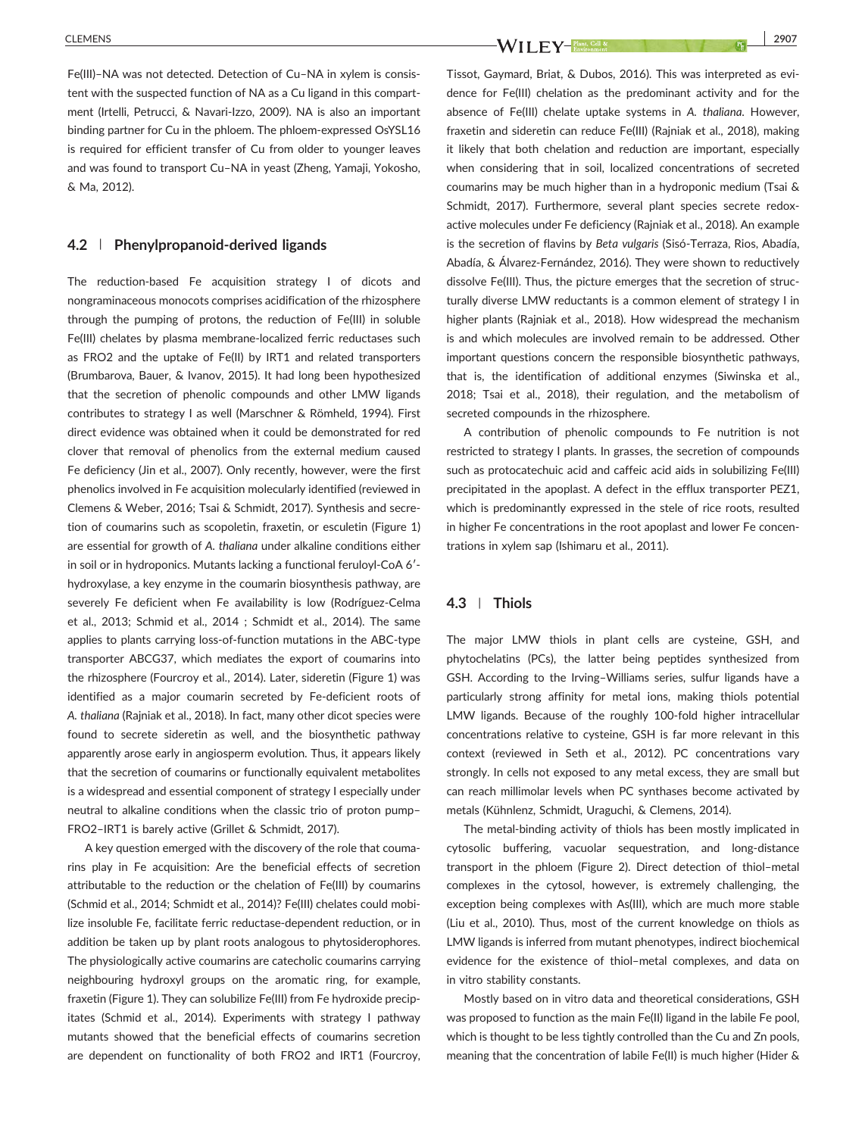Fe(III)–NA was not detected. Detection of Cu–NA in xylem is consistent with the suspected function of NA as a Cu ligand in this compartment (Irtelli, Petrucci, & Navari‐Izzo, 2009). NA is also an important binding partner for Cu in the phloem. The phloem‐expressed OsYSL16 is required for efficient transfer of Cu from older to younger leaves and was found to transport Cu–NA in yeast (Zheng, Yamaji, Yokosho, & Ma, 2012).

#### **4.2** | **Phenylpropanoid‐derived ligands**

The reduction‐based Fe acquisition strategy I of dicots and nongraminaceous monocots comprises acidification of the rhizosphere through the pumping of protons, the reduction of Fe(III) in soluble Fe(III) chelates by plasma membrane‐localized ferric reductases such as FRO2 and the uptake of Fe(II) by IRT1 and related transporters (Brumbarova, Bauer, & Ivanov, 2015). It had long been hypothesized that the secretion of phenolic compounds and other LMW ligands contributes to strategy I as well (Marschner & Römheld, 1994). First direct evidence was obtained when it could be demonstrated for red clover that removal of phenolics from the external medium caused Fe deficiency (Jin et al., 2007). Only recently, however, were the first phenolics involved in Fe acquisition molecularly identified (reviewed in Clemens & Weber, 2016; Tsai & Schmidt, 2017). Synthesis and secretion of coumarins such as scopoletin, fraxetin, or esculetin (Figure 1) are essential for growth of *A. thaliana* under alkaline conditions either in soil or in hydroponics. Mutants lacking a functional feruloyl‐CoA 6′‐ hydroxylase, a key enzyme in the coumarin biosynthesis pathway, are severely Fe deficient when Fe availability is low (Rodríguez‐Celma et al., 2013; Schmid et al., 2014 ; Schmidt et al., 2014). The same applies to plants carrying loss‐of‐function mutations in the ABC‐type transporter ABCG37, which mediates the export of coumarins into the rhizosphere (Fourcroy et al., 2014). Later, sideretin (Figure 1) was identified as a major coumarin secreted by Fe-deficient roots of *A. thaliana* (Rajniak et al., 2018). In fact, many other dicot species were found to secrete sideretin as well, and the biosynthetic pathway apparently arose early in angiosperm evolution. Thus, it appears likely that the secretion of coumarins or functionally equivalent metabolites is a widespread and essential component of strategy I especially under neutral to alkaline conditions when the classic trio of proton pump– FRO2–IRT1 is barely active (Grillet & Schmidt, 2017).

A key question emerged with the discovery of the role that coumarins play in Fe acquisition: Are the beneficial effects of secretion attributable to the reduction or the chelation of Fe(III) by coumarins (Schmid et al., 2014; Schmidt et al., 2014)? Fe(III) chelates could mobilize insoluble Fe, facilitate ferric reductase‐dependent reduction, or in addition be taken up by plant roots analogous to phytosiderophores. The physiologically active coumarins are catecholic coumarins carrying neighbouring hydroxyl groups on the aromatic ring, for example, fraxetin (Figure 1). They can solubilize Fe(III) from Fe hydroxide precipitates (Schmid et al., 2014). Experiments with strategy I pathway mutants showed that the beneficial effects of coumarins secretion are dependent on functionality of both FRO2 and IRT1 (Fourcroy,

CLEMENS  $\begin{bmatrix} \lambda / I & \Gamma & \Gamma \lambda \end{bmatrix}$   $\begin{bmatrix} \lambda \\ \gamma \end{bmatrix}$   $\begin{bmatrix} \Gamma & \Gamma \lambda \end{bmatrix}$   $\begin{bmatrix} \Gamma \lambda \\ \Gamma \end{bmatrix}$   $\begin{bmatrix} 2907 & \Gamma \end{bmatrix}$ 

Tissot, Gaymard, Briat, & Dubos, 2016). This was interpreted as evidence for Fe(III) chelation as the predominant activity and for the absence of Fe(III) chelate uptake systems in *A. thaliana*. However, fraxetin and sideretin can reduce Fe(III) (Rajniak et al., 2018), making it likely that both chelation and reduction are important, especially when considering that in soil, localized concentrations of secreted coumarins may be much higher than in a hydroponic medium (Tsai & Schmidt, 2017). Furthermore, several plant species secrete redoxactive molecules under Fe deficiency (Rajniak et al., 2018). An example is the secretion of flavins by *Beta vulgaris* (Sisó‐Terraza, Rios, Abadía, Abadía, & Álvarez‐Fernández, 2016). They were shown to reductively dissolve Fe(III). Thus, the picture emerges that the secretion of structurally diverse LMW reductants is a common element of strategy I in higher plants (Rajniak et al., 2018). How widespread the mechanism is and which molecules are involved remain to be addressed. Other important questions concern the responsible biosynthetic pathways, that is, the identification of additional enzymes (Siwinska et al., 2018; Tsai et al., 2018), their regulation, and the metabolism of secreted compounds in the rhizosphere.

A contribution of phenolic compounds to Fe nutrition is not restricted to strategy I plants. In grasses, the secretion of compounds such as protocatechuic acid and caffeic acid aids in solubilizing Fe(III) precipitated in the apoplast. A defect in the efflux transporter PEZ1, which is predominantly expressed in the stele of rice roots, resulted in higher Fe concentrations in the root apoplast and lower Fe concentrations in xylem sap (Ishimaru et al., 2011).

#### **4.3** | **Thiols**

The major LMW thiols in plant cells are cysteine, GSH, and phytochelatins (PCs), the latter being peptides synthesized from GSH. According to the Irving–Williams series, sulfur ligands have a particularly strong affinity for metal ions, making thiols potential LMW ligands. Because of the roughly 100‐fold higher intracellular concentrations relative to cysteine, GSH is far more relevant in this context (reviewed in Seth et al., 2012). PC concentrations vary strongly. In cells not exposed to any metal excess, they are small but can reach millimolar levels when PC synthases become activated by metals (Kühnlenz, Schmidt, Uraguchi, & Clemens, 2014).

The metal-binding activity of thiols has been mostly implicated in cytosolic buffering, vacuolar sequestration, and long‐distance transport in the phloem (Figure 2). Direct detection of thiol–metal complexes in the cytosol, however, is extremely challenging, the exception being complexes with As(III), which are much more stable (Liu et al., 2010). Thus, most of the current knowledge on thiols as LMW ligands is inferred from mutant phenotypes, indirect biochemical evidence for the existence of thiol–metal complexes, and data on in vitro stability constants.

Mostly based on in vitro data and theoretical considerations, GSH was proposed to function as the main Fe(II) ligand in the labile Fe pool, which is thought to be less tightly controlled than the Cu and Zn pools, meaning that the concentration of labile Fe(II) is much higher (Hider &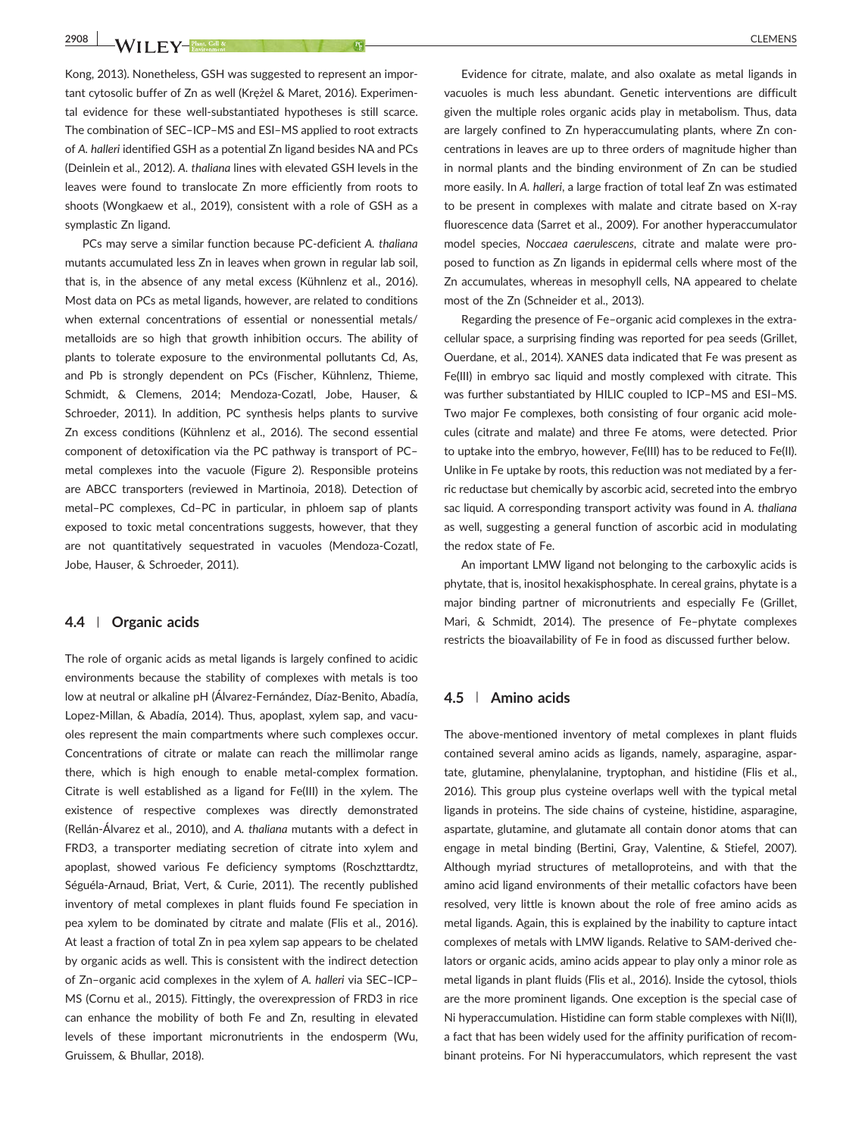2908 **I IA**/II FLY Plant Cell & **CLEMENS** 

Kong, 2013). Nonetheless, GSH was suggested to represent an important cytosolic buffer of Zn as well (Krężel & Maret, 2016). Experimental evidence for these well‐substantiated hypotheses is still scarce. The combination of SEC–ICP–MS and ESI–MS applied to root extracts of *A. halleri* identified GSH as a potential Zn ligand besides NA and PCs (Deinlein et al., 2012). *A. thaliana* lines with elevated GSH levels in the leaves were found to translocate Zn more efficiently from roots to shoots (Wongkaew et al., 2019), consistent with a role of GSH as a symplastic Zn ligand.

PCs may serve a similar function because PC‐deficient *A. thaliana* mutants accumulated less Zn in leaves when grown in regular lab soil, that is, in the absence of any metal excess (Kühnlenz et al., 2016). Most data on PCs as metal ligands, however, are related to conditions when external concentrations of essential or nonessential metals/ metalloids are so high that growth inhibition occurs. The ability of plants to tolerate exposure to the environmental pollutants Cd, As, and Pb is strongly dependent on PCs (Fischer, Kühnlenz, Thieme, Schmidt, & Clemens, 2014; Mendoza‐Cozatl, Jobe, Hauser, & Schroeder, 2011). In addition, PC synthesis helps plants to survive Zn excess conditions (Kühnlenz et al., 2016). The second essential component of detoxification via the PC pathway is transport of PC– metal complexes into the vacuole (Figure 2). Responsible proteins are ABCC transporters (reviewed in Martinoia, 2018). Detection of metal–PC complexes, Cd–PC in particular, in phloem sap of plants exposed to toxic metal concentrations suggests, however, that they are not quantitatively sequestrated in vacuoles (Mendoza‐Cozatl, Jobe, Hauser, & Schroeder, 2011).

### **4.4** | **Organic acids**

The role of organic acids as metal ligands is largely confined to acidic environments because the stability of complexes with metals is too low at neutral or alkaline pH (Álvarez‐Fernández, Díaz‐Benito, Abadía, Lopez‐Millan, & Abadía, 2014). Thus, apoplast, xylem sap, and vacuoles represent the main compartments where such complexes occur. Concentrations of citrate or malate can reach the millimolar range there, which is high enough to enable metal‐complex formation. Citrate is well established as a ligand for Fe(III) in the xylem. The existence of respective complexes was directly demonstrated (Rellán‐Álvarez et al., 2010), and *A. thaliana* mutants with a defect in FRD3, a transporter mediating secretion of citrate into xylem and apoplast, showed various Fe deficiency symptoms (Roschzttardtz, Séguéla‐Arnaud, Briat, Vert, & Curie, 2011). The recently published inventory of metal complexes in plant fluids found Fe speciation in pea xylem to be dominated by citrate and malate (Flis et al., 2016). At least a fraction of total Zn in pea xylem sap appears to be chelated by organic acids as well. This is consistent with the indirect detection of Zn–organic acid complexes in the xylem of *A. halleri* via SEC–ICP– MS (Cornu et al., 2015). Fittingly, the overexpression of FRD3 in rice can enhance the mobility of both Fe and Zn, resulting in elevated levels of these important micronutrients in the endosperm (Wu, Gruissem, & Bhullar, 2018).

Evidence for citrate, malate, and also oxalate as metal ligands in vacuoles is much less abundant. Genetic interventions are difficult given the multiple roles organic acids play in metabolism. Thus, data are largely confined to Zn hyperaccumulating plants, where Zn concentrations in leaves are up to three orders of magnitude higher than in normal plants and the binding environment of Zn can be studied more easily. In *A. halleri*, a large fraction of total leaf Zn was estimated to be present in complexes with malate and citrate based on X‐ray fluorescence data (Sarret et al., 2009). For another hyperaccumulator model species, *Noccaea caerulescens*, citrate and malate were proposed to function as Zn ligands in epidermal cells where most of the Zn accumulates, whereas in mesophyll cells, NA appeared to chelate most of the Zn (Schneider et al., 2013).

Regarding the presence of Fe–organic acid complexes in the extracellular space, a surprising finding was reported for pea seeds (Grillet, Ouerdane, et al., 2014). XANES data indicated that Fe was present as Fe(III) in embryo sac liquid and mostly complexed with citrate. This was further substantiated by HILIC coupled to ICP–MS and ESI–MS. Two major Fe complexes, both consisting of four organic acid molecules (citrate and malate) and three Fe atoms, were detected. Prior to uptake into the embryo, however, Fe(III) has to be reduced to Fe(II). Unlike in Fe uptake by roots, this reduction was not mediated by a ferric reductase but chemically by ascorbic acid, secreted into the embryo sac liquid. A corresponding transport activity was found in *A. thaliana* as well, suggesting a general function of ascorbic acid in modulating the redox state of Fe.

An important LMW ligand not belonging to the carboxylic acids is phytate, that is, inositol hexakisphosphate. In cereal grains, phytate is a major binding partner of micronutrients and especially Fe (Grillet, Mari, & Schmidt, 2014). The presence of Fe–phytate complexes restricts the bioavailability of Fe in food as discussed further below.

## **4.5** | **Amino acids**

The above-mentioned inventory of metal complexes in plant fluids contained several amino acids as ligands, namely, asparagine, aspartate, glutamine, phenylalanine, tryptophan, and histidine (Flis et al., 2016). This group plus cysteine overlaps well with the typical metal ligands in proteins. The side chains of cysteine, histidine, asparagine, aspartate, glutamine, and glutamate all contain donor atoms that can engage in metal binding (Bertini, Gray, Valentine, & Stiefel, 2007). Although myriad structures of metalloproteins, and with that the amino acid ligand environments of their metallic cofactors have been resolved, very little is known about the role of free amino acids as metal ligands. Again, this is explained by the inability to capture intact complexes of metals with LMW ligands. Relative to SAM‐derived chelators or organic acids, amino acids appear to play only a minor role as metal ligands in plant fluids (Flis et al., 2016). Inside the cytosol, thiols are the more prominent ligands. One exception is the special case of Ni hyperaccumulation. Histidine can form stable complexes with Ni(II), a fact that has been widely used for the affinity purification of recombinant proteins. For Ni hyperaccumulators, which represent the vast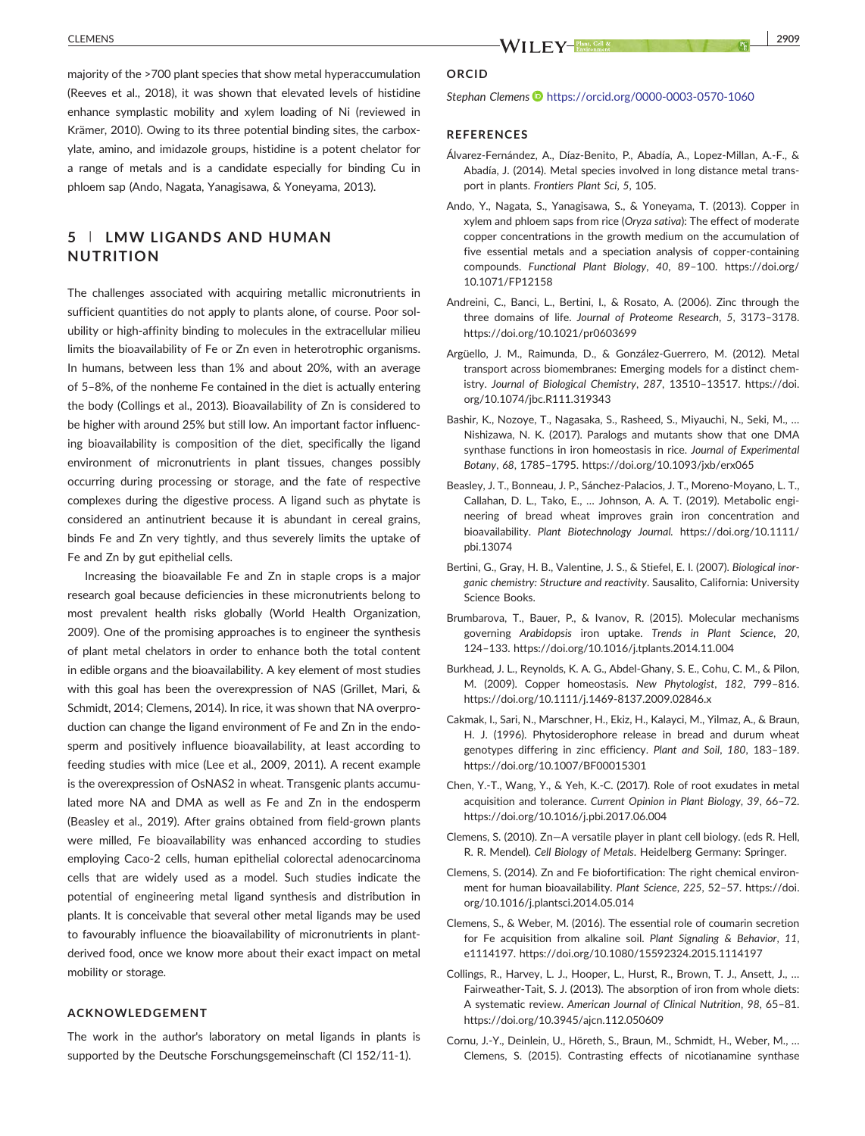CLEMENS  $\begin{bmatrix} \lambda / I & \Gamma & \Gamma \end{bmatrix}$   $\begin{bmatrix} \lambda / I & \Gamma & \Gamma \end{bmatrix}$   $\begin{bmatrix} \Sigma \end{bmatrix}$   $\begin{bmatrix} 2909 & \Gamma \end{bmatrix}$ 

majority of the >700 plant species that show metal hyperaccumulation (Reeves et al., 2018), it was shown that elevated levels of histidine enhance symplastic mobility and xylem loading of Ni (reviewed in Krämer, 2010). Owing to its three potential binding sites, the carboxylate, amino, and imidazole groups, histidine is a potent chelator for a range of metals and is a candidate especially for binding Cu in phloem sap (Ando, Nagata, Yanagisawa, & Yoneyama, 2013).

## **5** | **LMW LIGANDS AND HUMAN NUTRITION**

The challenges associated with acquiring metallic micronutrients in sufficient quantities do not apply to plants alone, of course. Poor solubility or high‐affinity binding to molecules in the extracellular milieu limits the bioavailability of Fe or Zn even in heterotrophic organisms. In humans, between less than 1% and about 20%, with an average of 5–8%, of the nonheme Fe contained in the diet is actually entering the body (Collings et al., 2013). Bioavailability of Zn is considered to be higher with around 25% but still low. An important factor influencing bioavailability is composition of the diet, specifically the ligand environment of micronutrients in plant tissues, changes possibly occurring during processing or storage, and the fate of respective complexes during the digestive process. A ligand such as phytate is considered an antinutrient because it is abundant in cereal grains, binds Fe and Zn very tightly, and thus severely limits the uptake of Fe and Zn by gut epithelial cells.

Increasing the bioavailable Fe and Zn in staple crops is a major research goal because deficiencies in these micronutrients belong to most prevalent health risks globally (World Health Organization, 2009). One of the promising approaches is to engineer the synthesis of plant metal chelators in order to enhance both the total content in edible organs and the bioavailability. A key element of most studies with this goal has been the overexpression of NAS (Grillet, Mari, & Schmidt, 2014; Clemens, 2014). In rice, it was shown that NA overproduction can change the ligand environment of Fe and Zn in the endosperm and positively influence bioavailability, at least according to feeding studies with mice (Lee et al., 2009, 2011). A recent example is the overexpression of OsNAS2 in wheat. Transgenic plants accumulated more NA and DMA as well as Fe and Zn in the endosperm (Beasley et al., 2019). After grains obtained from field‐grown plants were milled, Fe bioavailability was enhanced according to studies employing Caco‐2 cells, human epithelial colorectal adenocarcinoma cells that are widely used as a model. Such studies indicate the potential of engineering metal ligand synthesis and distribution in plants. It is conceivable that several other metal ligands may be used to favourably influence the bioavailability of micronutrients in plant‐ derived food, once we know more about their exact impact on metal mobility or storage.

#### **ACKNOWLEDGEMENT**

The work in the author's laboratory on metal ligands in plants is supported by the Deutsche Forschungsgemeinschaft (Cl 152/11-1).

#### **ORCID**

*Stephan Clemens* <https://orcid.org/0000-0003-0570-1060>

#### **REFERENCES**

- Álvarez‐Fernández, A., Díaz‐Benito, P., Abadía, A., Lopez‐Millan, A.‐F., & Abadía, J. (2014). Metal species involved in long distance metal transport in plants. *Frontiers Plant Sci*, *5*, 105.
- Ando, Y., Nagata, S., Yanagisawa, S., & Yoneyama, T. (2013). Copper in xylem and phloem saps from rice (*Oryza sativa*): The effect of moderate copper concentrations in the growth medium on the accumulation of five essential metals and a speciation analysis of copper‐containing compounds. *Functional Plant Biology*, *40*, 89–100. [https://doi.org/](https://doi.org/10.1071/FP12158) [10.1071/FP12158](https://doi.org/10.1071/FP12158)
- Andreini, C., Banci, L., Bertini, I., & Rosato, A. (2006). Zinc through the three domains of life. *Journal of Proteome Research*, *5*, 3173–3178. <https://doi.org/10.1021/pr0603699>
- Argüello, J. M., Raimunda, D., & González‐Guerrero, M. (2012). Metal transport across biomembranes: Emerging models for a distinct chemistry. *Journal of Biological Chemistry*, *287*, 13510–13517. [https://doi.](https://doi.org/10.1074/jbc.R111.319343) [org/10.1074/jbc.R111.319343](https://doi.org/10.1074/jbc.R111.319343)
- Bashir, K., Nozoye, T., Nagasaka, S., Rasheed, S., Miyauchi, N., Seki, M., … Nishizawa, N. K. (2017). Paralogs and mutants show that one DMA synthase functions in iron homeostasis in rice. *Journal of Experimental Botany*, *68*, 1785–1795.<https://doi.org/10.1093/jxb/erx065>
- Beasley, J. T., Bonneau, J. P., Sánchez‐Palacios, J. T., Moreno‐Moyano, L. T., Callahan, D. L., Tako, E., … Johnson, A. A. T. (2019). Metabolic engineering of bread wheat improves grain iron concentration and bioavailability. *Plant Biotechnology Journal.* [https://doi.org/10.1111/](https://doi.org/10.1111/pbi.13074) [pbi.13074](https://doi.org/10.1111/pbi.13074)
- Bertini, G., Gray, H. B., Valentine, J. S., & Stiefel, E. I. (2007). *Biological inorganic chemistry: Structure and reactivity*. Sausalito, California: University Science Books.
- Brumbarova, T., Bauer, P., & Ivanov, R. (2015). Molecular mechanisms governing *Arabidopsis* iron uptake. *Trends in Plant Science*, *20*, 124–133.<https://doi.org/10.1016/j.tplants.2014.11.004>
- Burkhead, J. L., Reynolds, K. A. G., Abdel‐Ghany, S. E., Cohu, C. M., & Pilon, M. (2009). Copper homeostasis. *New Phytologist*, *182*, 799–816. [https://doi.org/10.1111/j.1469](https://doi.org/10.1111/j.1469-8137.2009.02846.x)‐8137.2009.02846.x
- Cakmak, I., Sari, N., Marschner, H., Ekiz, H., Kalayci, M., Yilmaz, A., & Braun, H. J. (1996). Phytosiderophore release in bread and durum wheat genotypes differing in zinc efficiency. *Plant and Soil*, *180*, 183–189. <https://doi.org/10.1007/BF00015301>
- Chen, Y.‐T., Wang, Y., & Yeh, K.‐C. (2017). Role of root exudates in metal acquisition and tolerance. *Current Opinion in Plant Biology*, *39*, 66–72. <https://doi.org/10.1016/j.pbi.2017.06.004>
- Clemens, S. (2010). Zn—A versatile player in plant cell biology. (eds R. Hell, R. R. Mendel). *Cell Biology of Metals*. Heidelberg Germany: Springer.
- Clemens, S. (2014). Zn and Fe biofortification: The right chemical environment for human bioavailability. *Plant Science*, *225*, 52–57. [https://doi.](https://doi.org/10.1016/j.plantsci.2014.05.014) [org/10.1016/j.plantsci.2014.05.014](https://doi.org/10.1016/j.plantsci.2014.05.014)
- Clemens, S., & Weber, M. (2016). The essential role of coumarin secretion for Fe acquisition from alkaline soil. *Plant Signaling & Behavior*, *11*, e1114197.<https://doi.org/10.1080/15592324.2015.1114197>
- Collings, R., Harvey, L. J., Hooper, L., Hurst, R., Brown, T. J., Ansett, J., … Fairweather-Tait, S. J. (2013). The absorption of iron from whole diets: A systematic review. *American Journal of Clinical Nutrition*, *98*, 65–81. <https://doi.org/10.3945/ajcn.112.050609>
- Cornu, J.‐Y., Deinlein, U., Höreth, S., Braun, M., Schmidt, H., Weber, M., … Clemens, S. (2015). Contrasting effects of nicotianamine synthase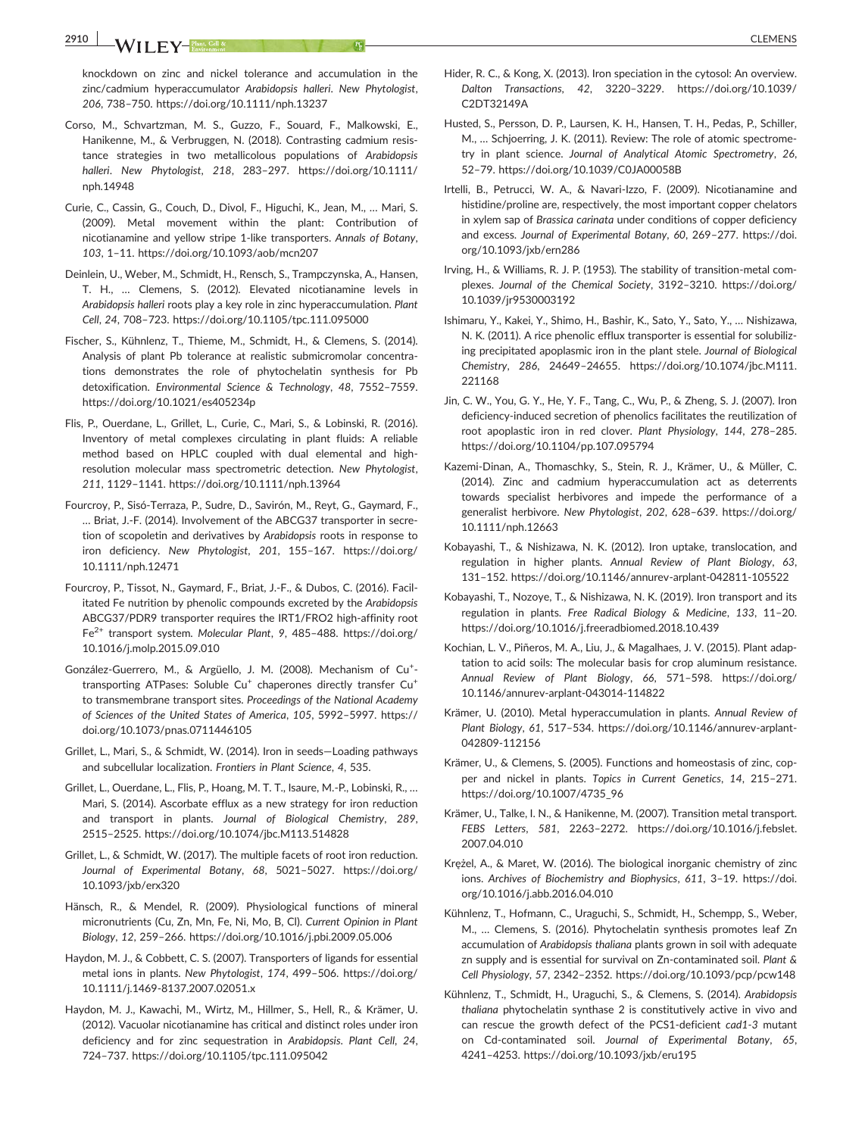2910 CLEMENS

knockdown on zinc and nickel tolerance and accumulation in the zinc/cadmium hyperaccumulator *Arabidopsis halleri*. *New Phytologist*, *206*, 738–750.<https://doi.org/10.1111/nph.13237>

- Corso, M., Schvartzman, M. S., Guzzo, F., Souard, F., Malkowski, E., Hanikenne, M., & Verbruggen, N. (2018). Contrasting cadmium resistance strategies in two metallicolous populations of *Arabidopsis halleri*. *New Phytologist*, *218*, 283–297. [https://doi.org/10.1111/](https://doi.org/10.1111/nph.14948) [nph.14948](https://doi.org/10.1111/nph.14948)
- Curie, C., Cassin, G., Couch, D., Divol, F., Higuchi, K., Jean, M., … Mari, S. (2009). Metal movement within the plant: Contribution of nicotianamine and yellow stripe 1‐like transporters. *Annals of Botany*, *103*, 1–11.<https://doi.org/10.1093/aob/mcn207>
- Deinlein, U., Weber, M., Schmidt, H., Rensch, S., Trampczynska, A., Hansen, T. H., … Clemens, S. (2012). Elevated nicotianamine levels in *Arabidopsis halleri* roots play a key role in zinc hyperaccumulation. *Plant Cell*, *24*, 708–723.<https://doi.org/10.1105/tpc.111.095000>
- Fischer, S., Kühnlenz, T., Thieme, M., Schmidt, H., & Clemens, S. (2014). Analysis of plant Pb tolerance at realistic submicromolar concentrations demonstrates the role of phytochelatin synthesis for Pb detoxification. *Environmental Science & Technology*, *48*, 7552–7559. <https://doi.org/10.1021/es405234p>
- Flis, P., Ouerdane, L., Grillet, L., Curie, C., Mari, S., & Lobinski, R. (2016). Inventory of metal complexes circulating in plant fluids: A reliable method based on HPLC coupled with dual elemental and highresolution molecular mass spectrometric detection. *New Phytologist*, *211*, 1129–1141.<https://doi.org/10.1111/nph.13964>
- Fourcroy, P., Sisó‐Terraza, P., Sudre, D., Savirón, M., Reyt, G., Gaymard, F., … Briat, J.‐F. (2014). Involvement of the ABCG37 transporter in secretion of scopoletin and derivatives by *Arabidopsis* roots in response to iron deficiency. *New Phytologist*, *201*, 155–167. [https://doi.org/](https://doi.org/10.1111/nph.12471) [10.1111/nph.12471](https://doi.org/10.1111/nph.12471)
- Fourcroy, P., Tissot, N., Gaymard, F., Briat, J.‐F., & Dubos, C. (2016). Facilitated Fe nutrition by phenolic compounds excreted by the *Arabidopsis* ABCG37/PDR9 transporter requires the IRT1/FRO2 high‐affinity root Fe2+ transport system. *Molecular Plant*, *9*, 485–488. [https://doi.org/](https://doi.org/10.1016/j.molp.2015.09.010) [10.1016/j.molp.2015.09.010](https://doi.org/10.1016/j.molp.2015.09.010)
- González-Guerrero, M., & Argüello, J. M. (2008). Mechanism of Cu<sup>+</sup>transporting ATPases: Soluble Cu<sup>+</sup> chaperones directly transfer Cu<sup>+</sup> to transmembrane transport sites. *Proceedings of the National Academy of Sciences of the United States of America*, *105*, 5992–5997. [https://](https://doi.org/10.1073/pnas.0711446105) [doi.org/10.1073/pnas.0711446105](https://doi.org/10.1073/pnas.0711446105)
- Grillet, L., Mari, S., & Schmidt, W. (2014). Iron in seeds—Loading pathways and subcellular localization. *Frontiers in Plant Science*, *4*, 535.
- Grillet, L., Ouerdane, L., Flis, P., Hoang, M. T. T., Isaure, M.‐P., Lobinski, R., … Mari, S. (2014). Ascorbate efflux as a new strategy for iron reduction and transport in plants. *Journal of Biological Chemistry*, *289*, 2515–2525.<https://doi.org/10.1074/jbc.M113.514828>
- Grillet, L., & Schmidt, W. (2017). The multiple facets of root iron reduction. *Journal of Experimental Botany*, *68*, 5021–5027. [https://doi.org/](https://doi.org/10.1093/jxb/erx320) [10.1093/jxb/erx320](https://doi.org/10.1093/jxb/erx320)
- Hänsch, R., & Mendel, R. (2009). Physiological functions of mineral micronutrients (Cu, Zn, Mn, Fe, Ni, Mo, B, Cl). *Current Opinion in Plant Biology*, *12*, 259–266.<https://doi.org/10.1016/j.pbi.2009.05.006>
- Haydon, M. J., & Cobbett, C. S. (2007). Transporters of ligands for essential metal ions in plants. *New Phytologist*, *174*, 499–506. [https://doi.org/](https://doi.org/10.1111/j.1469-8137.2007.02051.x) 10.1111/j.1469‐[8137.2007.02051.x](https://doi.org/10.1111/j.1469-8137.2007.02051.x)
- Haydon, M. J., Kawachi, M., Wirtz, M., Hillmer, S., Hell, R., & Krämer, U. (2012). Vacuolar nicotianamine has critical and distinct roles under iron deficiency and for zinc sequestration in *Arabidopsis*. *Plant Cell*, *24*, 724–737.<https://doi.org/10.1105/tpc.111.095042>
- Hider, R. C., & Kong, X. (2013). Iron speciation in the cytosol: An overview. *Dalton Transactions*, *42*, 3220–3229. [https://doi.org/10.1039/](https://doi.org/10.1039/C2DT32149A) [C2DT32149A](https://doi.org/10.1039/C2DT32149A)
- Husted, S., Persson, D. P., Laursen, K. H., Hansen, T. H., Pedas, P., Schiller, M., … Schjoerring, J. K. (2011). Review: The role of atomic spectrometry in plant science. *Journal of Analytical Atomic Spectrometry*, *26*, 52–79.<https://doi.org/10.1039/C0JA00058B>
- Irtelli, B., Petrucci, W. A., & Navari‐Izzo, F. (2009). Nicotianamine and histidine/proline are, respectively, the most important copper chelators in xylem sap of *Brassica carinata* under conditions of copper deficiency and excess. *Journal of Experimental Botany*, *60*, 269–277. [https://doi.](https://doi.org/10.1093/jxb/ern286) [org/10.1093/jxb/ern286](https://doi.org/10.1093/jxb/ern286)
- Irving, H., & Williams, R. J. P. (1953). The stability of transition‐metal complexes. *Journal of the Chemical Society*, 3192–3210. [https://doi.org/](https://doi.org/10.1039/jr9530003192) [10.1039/jr9530003192](https://doi.org/10.1039/jr9530003192)
- Ishimaru, Y., Kakei, Y., Shimo, H., Bashir, K., Sato, Y., Sato, Y., … Nishizawa, N. K. (2011). A rice phenolic efflux transporter is essential for solubilizing precipitated apoplasmic iron in the plant stele. *Journal of Biological Chemistry*, *286*, 24649–24655. [https://doi.org/10.1074/jbc.M111.](https://doi.org/10.1074/jbc.M111.221168) [221168](https://doi.org/10.1074/jbc.M111.221168)
- Jin, C. W., You, G. Y., He, Y. F., Tang, C., Wu, P., & Zheng, S. J. (2007). Iron deficiency‐induced secretion of phenolics facilitates the reutilization of root apoplastic iron in red clover. *Plant Physiology*, *144*, 278–285. <https://doi.org/10.1104/pp.107.095794>
- Kazemi‐Dinan, A., Thomaschky, S., Stein, R. J., Krämer, U., & Müller, C. (2014). Zinc and cadmium hyperaccumulation act as deterrents towards specialist herbivores and impede the performance of a generalist herbivore. *New Phytologist*, *202*, 628–639. [https://doi.org/](https://doi.org/10.1111/nph.12663) [10.1111/nph.12663](https://doi.org/10.1111/nph.12663)
- Kobayashi, T., & Nishizawa, N. K. (2012). Iron uptake, translocation, and regulation in higher plants. *Annual Review of Plant Biology*, *63*, 131–152. [https://doi.org/10.1146/annurev](https://doi.org/10.1146/annurev-arplant-042811-105522)‐arplant‐042811‐105522
- Kobayashi, T., Nozoye, T., & Nishizawa, N. K. (2019). Iron transport and its regulation in plants. *Free Radical Biology & Medicine*, *133*, 11–20. <https://doi.org/10.1016/j.freeradbiomed.2018.10.439>
- Kochian, L. V., Piñeros, M. A., Liu, J., & Magalhaes, J. V. (2015). Plant adaptation to acid soils: The molecular basis for crop aluminum resistance. *Annual Review of Plant Biology*, *66*, 571–598. [https://doi.org/](https://doi.org/10.1146/annurev-arplant-043014-114822) [10.1146/annurev](https://doi.org/10.1146/annurev-arplant-043014-114822)‐arplant‐043014‐114822
- Krämer, U. (2010). Metal hyperaccumulation in plants. *Annual Review of Plant Biology*, *61*, 517–534. [https://doi.org/10.1146/annurev](https://doi.org/10.1146/annurev-arplant-042809-112156)‐arplant‐ [042809](https://doi.org/10.1146/annurev-arplant-042809-112156)‐112156
- Krämer, U., & Clemens, S. (2005). Functions and homeostasis of zinc, copper and nickel in plants. *Topics in Current Genetics*, *14*, 215–271. [https://doi.org/10.1007/4735\\_96](https://doi.org/10.1007/4735_96)
- Krämer, U., Talke, I. N., & Hanikenne, M. (2007). Transition metal transport. *FEBS Letters*, *581*, 2263–2272. [https://doi.org/10.1016/j.febslet.](https://doi.org/10.1016/j.febslet.2007.04.010) [2007.04.010](https://doi.org/10.1016/j.febslet.2007.04.010)
- Krężel, A., & Maret, W. (2016). The biological inorganic chemistry of zinc ions. *Archives of Biochemistry and Biophysics*, *611*, 3–19. [https://doi.](https://doi.org/10.1016/j.abb.2016.04.010) [org/10.1016/j.abb.2016.04.010](https://doi.org/10.1016/j.abb.2016.04.010)
- Kühnlenz, T., Hofmann, C., Uraguchi, S., Schmidt, H., Schempp, S., Weber, M., … Clemens, S. (2016). Phytochelatin synthesis promotes leaf Zn accumulation of *Arabidopsis thaliana* plants grown in soil with adequate zn supply and is essential for survival on Zn‐contaminated soil. *Plant & Cell Physiology*, *57*, 2342–2352.<https://doi.org/10.1093/pcp/pcw148>
- Kühnlenz, T., Schmidt, H., Uraguchi, S., & Clemens, S. (2014). *Arabidopsis thaliana* phytochelatin synthase 2 is constitutively active in vivo and can rescue the growth defect of the PCS1‐deficient *cad1‐3* mutant on Cd‐contaminated soil. *Journal of Experimental Botany*, *65*, 4241–4253.<https://doi.org/10.1093/jxb/eru195>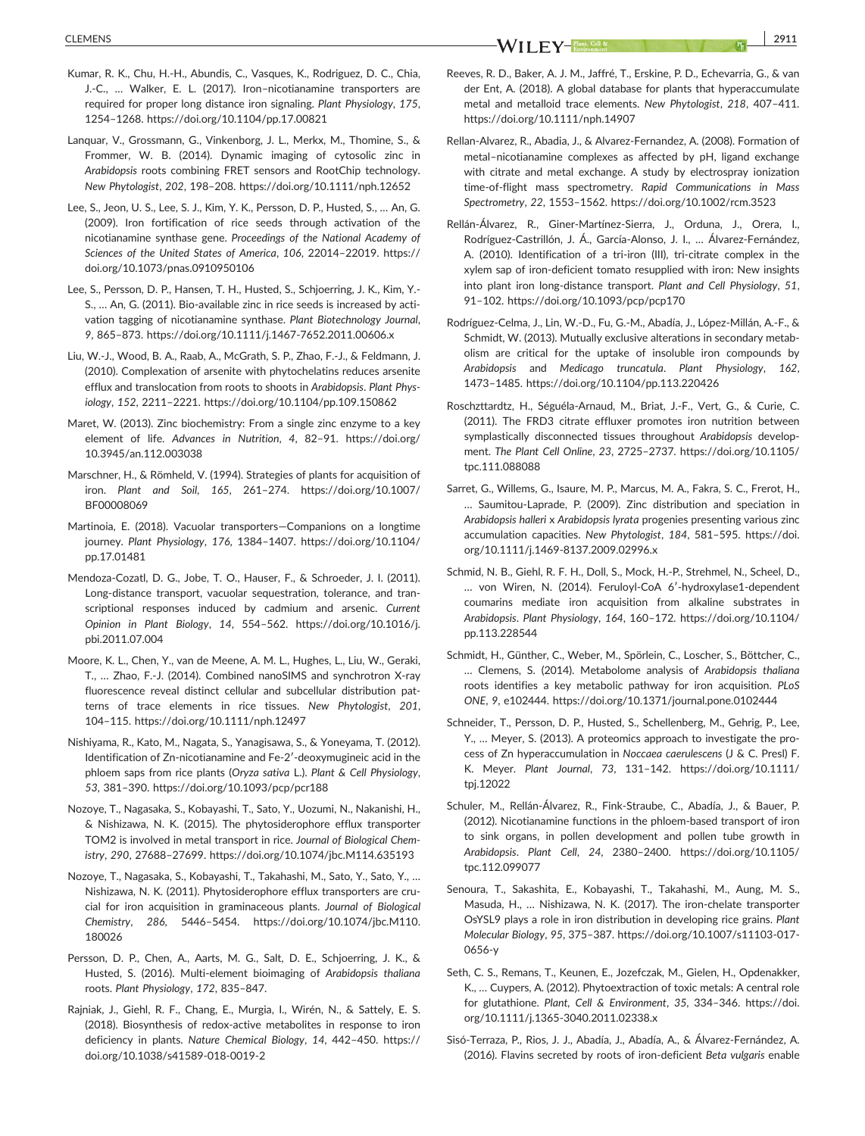CLEMENS  $\mathbf{V}$  and  $\mathbf{V}$  and  $\mathbf{V}$  and  $\mathbf{V}$  and  $\mathbf{V}$  and  $\mathbf{V}$  and  $\mathbf{V}$  and  $\mathbf{V}$  and  $\mathbf{V}$  and  $\mathbf{V}$  and  $\mathbf{V}$  and  $\mathbf{V}$  and  $\mathbf{V}$  and  $\mathbf{V}$  and  $\mathbf{V}$  and  $\mathbf{V}$  and  $\mathbf{$ 

- Kumar, R. K., Chu, H.‐H., Abundis, C., Vasques, K., Rodriguez, D. C., Chia, J.‐C., … Walker, E. L. (2017). Iron–nicotianamine transporters are required for proper long distance iron signaling. *Plant Physiology*, *175*, 1254–1268.<https://doi.org/10.1104/pp.17.00821>
- Lanquar, V., Grossmann, G., Vinkenborg, J. L., Merkx, M., Thomine, S., & Frommer, W. B. (2014). Dynamic imaging of cytosolic zinc in *Arabidopsis* roots combining FRET sensors and RootChip technology. *New Phytologist*, *202*, 198–208.<https://doi.org/10.1111/nph.12652>
- Lee, S., Jeon, U. S., Lee, S. J., Kim, Y. K., Persson, D. P., Husted, S., … An, G. (2009). Iron fortification of rice seeds through activation of the nicotianamine synthase gene. *Proceedings of the National Academy of Sciences of the United States of America*, *106*, 22014–22019. [https://](https://doi.org/10.1073/pnas.0910950106) [doi.org/10.1073/pnas.0910950106](https://doi.org/10.1073/pnas.0910950106)
- Lee, S., Persson, D. P., Hansen, T. H., Husted, S., Schjoerring, J. K., Kim, Y.‐ S., … An, G. (2011). Bio‐available zinc in rice seeds is increased by activation tagging of nicotianamine synthase. *Plant Biotechnology Journal*, *9*, 865–873. [https://doi.org/10.1111/j.1467](https://doi.org/10.1111/j.1467-7652.2011.00606.x)‐7652.2011.00606.x
- Liu, W.‐J., Wood, B. A., Raab, A., McGrath, S. P., Zhao, F.‐J., & Feldmann, J. (2010). Complexation of arsenite with phytochelatins reduces arsenite efflux and translocation from roots to shoots in *Arabidopsis*. *Plant Physiology*, *152*, 2211–2221.<https://doi.org/10.1104/pp.109.150862>
- Maret, W. (2013). Zinc biochemistry: From a single zinc enzyme to a key element of life. *Advances in Nutrition*, *4*, 82–91. [https://doi.org/](https://doi.org/10.3945/an.112.003038) [10.3945/an.112.003038](https://doi.org/10.3945/an.112.003038)
- Marschner, H., & Römheld, V. (1994). Strategies of plants for acquisition of iron. *Plant and Soil*, *165*, 261–274. [https://doi.org/10.1007/](https://doi.org/10.1007/BF00008069) [BF00008069](https://doi.org/10.1007/BF00008069)
- Martinoia, E. (2018). Vacuolar transporters—Companions on a longtime journey. *Plant Physiology*, *176*, 1384–1407. [https://doi.org/10.1104/](https://doi.org/10.1104/pp.17.01481) [pp.17.01481](https://doi.org/10.1104/pp.17.01481)
- Mendoza‐Cozatl, D. G., Jobe, T. O., Hauser, F., & Schroeder, J. I. (2011). Long-distance transport, vacuolar sequestration, tolerance, and transcriptional responses induced by cadmium and arsenic. *Current Opinion in Plant Biology*, *14*, 554–562. [https://doi.org/10.1016/j.](https://doi.org/10.1016/j.pbi.2011.07.004) [pbi.2011.07.004](https://doi.org/10.1016/j.pbi.2011.07.004)
- Moore, K. L., Chen, Y., van de Meene, A. M. L., Hughes, L., Liu, W., Geraki, T., … Zhao, F.‐J. (2014). Combined nanoSIMS and synchrotron X‐ray fluorescence reveal distinct cellular and subcellular distribution patterns of trace elements in rice tissues. *New Phytologist*, *201*, 104–115.<https://doi.org/10.1111/nph.12497>
- Nishiyama, R., Kato, M., Nagata, S., Yanagisawa, S., & Yoneyama, T. (2012). Identification of Zn‐nicotianamine and Fe‐2′‐deoxymugineic acid in the phloem saps from rice plants (*Oryza sativa* L.). *Plant & Cell Physiology*, *53*, 381–390.<https://doi.org/10.1093/pcp/pcr188>
- Nozoye, T., Nagasaka, S., Kobayashi, T., Sato, Y., Uozumi, N., Nakanishi, H., & Nishizawa, N. K. (2015). The phytosiderophore efflux transporter TOM2 is involved in metal transport in rice. *Journal of Biological Chemistry*, *290*, 27688–27699.<https://doi.org/10.1074/jbc.M114.635193>
- Nozoye, T., Nagasaka, S., Kobayashi, T., Takahashi, M., Sato, Y., Sato, Y., … Nishizawa, N. K. (2011). Phytosiderophore efflux transporters are crucial for iron acquisition in graminaceous plants. *Journal of Biological Chemistry*, *286*, 5446–5454. [https://doi.org/10.1074/jbc.M110.](https://doi.org/10.1074/jbc.M110.180026) [180026](https://doi.org/10.1074/jbc.M110.180026)
- Persson, D. P., Chen, A., Aarts, M. G., Salt, D. E., Schjoerring, J. K., & Husted, S. (2016). Multi‐element bioimaging of *Arabidopsis thaliana* roots. *Plant Physiology*, *172*, 835–847.
- Rajniak, J., Giehl, R. F., Chang, E., Murgia, I., Wirén, N., & Sattely, E. S. (2018). Biosynthesis of redox‐active metabolites in response to iron deficiency in plants. *Nature Chemical Biology*, *14*, 442–450. [https://](https://doi.org/10.1038/s41589-018-0019-2) [doi.org/10.1038/s41589](https://doi.org/10.1038/s41589-018-0019-2)‐018‐0019‐2
- Reeves, R. D., Baker, A. J. M., Jaffré, T., Erskine, P. D., Echevarria, G., & van der Ent, A. (2018). A global database for plants that hyperaccumulate metal and metalloid trace elements. *New Phytologist*, *218*, 407–411. <https://doi.org/10.1111/nph.14907>
- Rellan‐Alvarez, R., Abadia, J., & Alvarez‐Fernandez, A. (2008). Formation of metal–nicotianamine complexes as affected by pH, ligand exchange with citrate and metal exchange. A study by electrospray ionization time‐of‐flight mass spectrometry. *Rapid Communications in Mass Spectrometry*, *22*, 1553–1562.<https://doi.org/10.1002/rcm.3523>
- Rellán‐Álvarez, R., Giner‐Martínez‐Sierra, J., Orduna, J., Orera, I., Rodríguez‐Castrillón, J. Á., García‐Alonso, J. I., … Álvarez‐Fernández, A. (2010). Identification of a tri‐iron (III), tri‐citrate complex in the xylem sap of iron-deficient tomato resupplied with iron: New insights into plant iron long‐distance transport. *Plant and Cell Physiology*, *51*, 91–102.<https://doi.org/10.1093/pcp/pcp170>
- Rodríguez‐Celma, J., Lin, W.‐D., Fu, G.‐M., Abadía, J., López‐Millán, A.‐F., & Schmidt, W. (2013). Mutually exclusive alterations in secondary metabolism are critical for the uptake of insoluble iron compounds by *Arabidopsis* and *Medicago truncatula*. *Plant Physiology*, *162*, 1473–1485.<https://doi.org/10.1104/pp.113.220426>
- Roschzttardtz, H., Séguéla‐Arnaud, M., Briat, J.‐F., Vert, G., & Curie, C. (2011). The FRD3 citrate effluxer promotes iron nutrition between symplastically disconnected tissues throughout *Arabidopsis* development. *The Plant Cell Online*, *23*, 2725–2737. [https://doi.org/10.1105/](https://doi.org/10.1105/tpc.111.088088) [tpc.111.088088](https://doi.org/10.1105/tpc.111.088088)
- Sarret, G., Willems, G., Isaure, M. P., Marcus, M. A., Fakra, S. C., Frerot, H., … Saumitou‐Laprade, P. (2009). Zinc distribution and speciation in *Arabidopsis halleri* x *Arabidopsis lyrata* progenies presenting various zinc accumulation capacities. *New Phytologist*, *184*, 581–595. [https://doi.](https://doi.org/10.1111/j.1469-8137.2009.02996.x) [org/10.1111/j.1469](https://doi.org/10.1111/j.1469-8137.2009.02996.x)‐8137.2009.02996.x
- Schmid, N. B., Giehl, R. F. H., Doll, S., Mock, H.‐P., Strehmel, N., Scheel, D., … von Wiren, N. (2014). Feruloyl‐CoA 6′‐hydroxylase1‐dependent coumarins mediate iron acquisition from alkaline substrates in *Arabidopsis*. *Plant Physiology*, *164*, 160–172. [https://doi.org/10.1104/](https://doi.org/10.1104/pp.113.228544) [pp.113.228544](https://doi.org/10.1104/pp.113.228544)
- Schmidt, H., Günther, C., Weber, M., Spörlein, C., Loscher, S., Böttcher, C., … Clemens, S. (2014). Metabolome analysis of *Arabidopsis thaliana* roots identifies a key metabolic pathway for iron acquisition. *PLoS ONE*, *9*, e102444.<https://doi.org/10.1371/journal.pone.0102444>
- Schneider, T., Persson, D. P., Husted, S., Schellenberg, M., Gehrig, P., Lee, Y., … Meyer, S. (2013). A proteomics approach to investigate the process of Zn hyperaccumulation in *Noccaea caerulescens* (J & C. Presl) F. K. Meyer. *Plant Journal*, *73*, 131–142. [https://doi.org/10.1111/](https://doi.org/10.1111/tpj.12022) [tpj.12022](https://doi.org/10.1111/tpj.12022)
- Schuler, M., Rellán‐Álvarez, R., Fink‐Straube, C., Abadía, J., & Bauer, P. (2012). Nicotianamine functions in the phloem‐based transport of iron to sink organs, in pollen development and pollen tube growth in *Arabidopsis*. *Plant Cell*, *24*, 2380–2400. [https://doi.org/10.1105/](https://doi.org/10.1105/tpc.112.099077) [tpc.112.099077](https://doi.org/10.1105/tpc.112.099077)
- Senoura, T., Sakashita, E., Kobayashi, T., Takahashi, M., Aung, M. S., Masuda, H., … Nishizawa, N. K. (2017). The iron‐chelate transporter OsYSL9 plays a role in iron distribution in developing rice grains. *Plant Molecular Biology*, *95*, 375–387. [https://doi.org/10.1007/s11103](https://doi.org/10.1007/s11103-017-0656-y)‐017‐ [0656](https://doi.org/10.1007/s11103-017-0656-y)‐y
- Seth, C. S., Remans, T., Keunen, E., Jozefczak, M., Gielen, H., Opdenakker, K., … Cuypers, A. (2012). Phytoextraction of toxic metals: A central role for glutathione. *Plant, Cell & Environment*, *35*, 334–346. [https://doi.](https://doi.org/10.1111/j.1365-3040.2011.02338.x) [org/10.1111/j.1365](https://doi.org/10.1111/j.1365-3040.2011.02338.x)‐3040.2011.02338.x
- Sisó‐Terraza, P., Rios, J. J., Abadía, J., Abadía, A., & Álvarez‐Fernández, A. (2016). Flavins secreted by roots of iron‐deficient *Beta vulgaris* enable